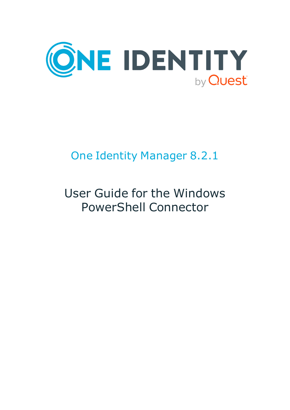

# One Identity Manager 8.2.1

# User Guide for the Windows PowerShell Connector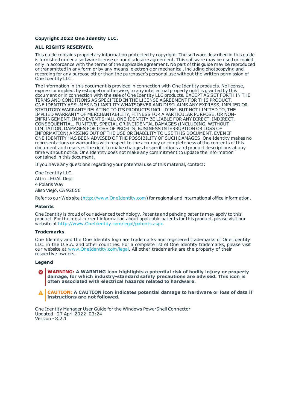#### **Copyright 2022 One Identity LLC.**

#### **ALL RIGHTS RESERVED.**

This guide contains proprietary information protected by copyright. The software described in this guide is furnished under a software license or nondisclosure agreement. This software may be used or copied only in accordance with the terms of the applicable agreement. No part of this guide may be reproduced or transmitted in any form or by any means, electronic or mechanical, including photocopying and recording for any purpose other than the purchaser's personal use without the written permission of One Identity LLC .

The information in this document is provided in connection with One Identity products. No license, express or implied, by estoppel or otherwise, to any intellectual property right is granted by this document or in connection with the sale of One Identity LLC products. EXCEPT AS SET FORTH IN THE TERMS AND CONDITIONS AS SPECIFIED IN THE LICENSE AGREEMENT FOR THIS PRODUCT, ONE IDENTITY ASSUMES NO LIABILITY WHATSOEVER AND DISCLAIMS ANY EXPRESS, IMPLIED OR STATUTORY WARRANTY RELATING TO ITS PRODUCTS INCLUDING, BUT NOT LIMITED TO, THE IMPLIED WARRANTY OF MERCHANTABILITY, FITNESS FOR A PARTICULAR PURPOSE, OR NON-INFRINGEMENT. IN NO EVENT SHALL ONE IDENTITY BE LIABLE FOR ANY DIRECT, INDIRECT, CONSEQUENTIAL, PUNITIVE, SPECIAL OR INCIDENTAL DAMAGES (INCLUDING, WITHOUT LIMITATION, DAMAGES FOR LOSS OF PROFITS, BUSINESS INTERRUPTION OR LOSS OF INFORMATION) ARISING OUT OF THE USE OR INABILITY TO USE THIS DOCUMENT, EVEN IF ONE IDENTITY HAS BEEN ADVISED OF THE POSSIBILITY OF SUCH DAMAGES. One Identity makes no representations or warranties with respect to the accuracy or completeness of the contents of this document and reserves the right to make changes to specifications and product descriptions at any time without notice. One Identity does not make any commitment to update the information contained in this document.

If you have any questions regarding your potential use of this material, contact:

One Identity LLC. Attn: LEGAL Dept 4 Polaris Way Aliso Viejo, CA 92656

Refer to our Web site ([http://www.OneIdentity.com](http://www.oneidentity.com/)) for regional and international office information.

#### **Patents**

One Identity is proud of our advanced technology. Patents and pending patents may apply to this product. For the most current information about applicable patents for this product, please visit our website at [http://www.OneIdentity.com/legal/patents.aspx](http://www.oneidentity.com/legal/patents.aspx).

#### **Trademarks**

One Identity and the One Identity logo are trademarks and registered trademarks of One Identity LLC. in the U.S.A. and other countries. For a complete list of One Identity trademarks, please visit our website at [www.OneIdentity.com/legal](http://www.oneidentity.com/legal). All other trademarks are the property of their respective owners.

#### **Legend**

**WARNING: A WARNING icon highlights a potential risk of bodily injury or property damage, for which industry-standard safety precautions are advised. This icon is often associated with electrical hazards related to hardware.**

**CAUTION: A CAUTION icon indicates potential damage to hardware or loss of data if** A **instructions are not followed.**

One Identity Manager User Guide for the Windows PowerShell Connector Updated - 27 April 2022, 03:24 Version - 8.2.1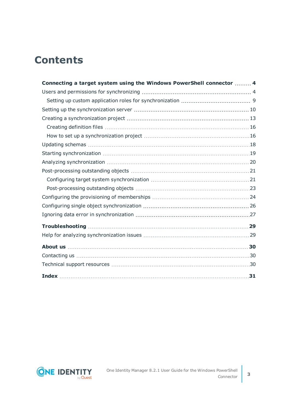## **Contents**

| Connecting a target system using the Windows PowerShell connector  4 |  |
|----------------------------------------------------------------------|--|
|                                                                      |  |
|                                                                      |  |
|                                                                      |  |
|                                                                      |  |
|                                                                      |  |
|                                                                      |  |
|                                                                      |  |
|                                                                      |  |
|                                                                      |  |
|                                                                      |  |
|                                                                      |  |
|                                                                      |  |
|                                                                      |  |
|                                                                      |  |
|                                                                      |  |
|                                                                      |  |
|                                                                      |  |
|                                                                      |  |
|                                                                      |  |
|                                                                      |  |
|                                                                      |  |

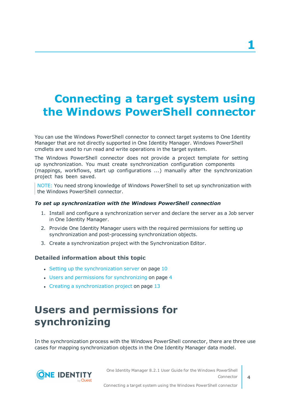## <span id="page-3-0"></span>**Connecting a target system using the Windows PowerShell connector**

You can use the Windows PowerShell connector to connect target systems to One Identity Manager that are not directly supported in One Identity Manager. Windows PowerShell cmdlets are used to run read and write operations in the target system.

The Windows PowerShell connector does not provide a project template for setting up synchronization. You must create synchronization configuration components (mappings, workflows, start up configurations ...) manually after the synchronization project has been saved.

NOTE: You need strong knowledge of Windows PowerShell to set up synchronization with the Windows PowerShell connector.

#### *To set up synchronization with the Windows PowerShell connection*

- 1. Install and configure a synchronization server and declare the server as a Job server in One Identity Manager.
- 2. Provide One Identity Manager users with the required permissions for setting up synchronization and post-processing synchronization objects.
- 3. Create a synchronization project with the Synchronization Editor.

#### **Detailed information about this topic**

- $\cdot$  Setting up the [synchronization](#page-9-0) server on page 10
- Users and permissions for [synchronizing](#page-3-1) on page 4
- <span id="page-3-1"></span>• Creating a [synchronization](#page-12-0) project on page 13

## **Users and permissions for synchronizing**

In the synchronization process with the Windows PowerShell connector, there are three use cases for mapping synchronization objects in the One Identity Manager data model.



One Identity Manager 8.2.1 User Guide for the Windows PowerShell Connector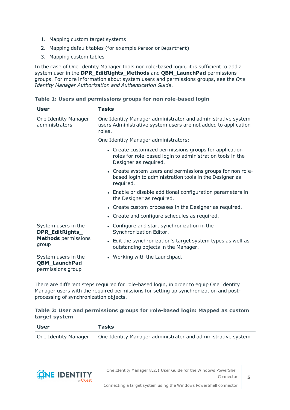- 1. Mapping custom target systems
- 2. Mapping default tables (for example Person or Department)
- 3. Mapping custom tables

In the case of One Identity Manager tools non role-based login, it is sufficient to add a system user in the **DPR\_EditRights\_Methods** and **QBM\_LaunchPad** permissions groups. For more information about system users and permissions groups, see the *One Identity Manager Authorization and Authentication Guide*.

#### **Table 1: Users and permissions groups for non role-based login**

| User                                                                          | <b>Tasks</b>                                                                                                                                                                  |
|-------------------------------------------------------------------------------|-------------------------------------------------------------------------------------------------------------------------------------------------------------------------------|
| One Identity Manager<br>administrators                                        | One Identity Manager administrator and administrative system<br>users Administrative system users are not added to application<br>roles.                                      |
|                                                                               | One Identity Manager administrators:                                                                                                                                          |
|                                                                               | • Create customized permissions groups for application<br>roles for role-based login to administration tools in the<br>Designer as required.                                  |
|                                                                               | • Create system users and permissions groups for non role-<br>based login to administration tools in the Designer as<br>required.                                             |
|                                                                               | • Enable or disable additional configuration parameters in<br>the Designer as required.                                                                                       |
|                                                                               | • Create custom processes in the Designer as required.                                                                                                                        |
|                                                                               | • Create and configure schedules as required.                                                                                                                                 |
| System users in the<br>DPR_EditRights_<br><b>Methods</b> permissions<br>group | • Configure and start synchronization in the<br>Synchronization Editor.<br>• Edit the synchronization's target system types as well as<br>outstanding objects in the Manager. |
| System users in the<br><b>QBM_LaunchPad</b><br>permissions group              | • Working with the Launchpad.                                                                                                                                                 |

There are different steps required for role-based login, in order to equip One Identity Manager users with the required permissions for setting up synchronization and postprocessing of synchronization objects.

#### **Table 2: User and permissions groups for role-based login: Mapped as custom target system**

| User                 | <b>Tasks</b>                                                 |
|----------------------|--------------------------------------------------------------|
| One Identity Manager | One Identity Manager administrator and administrative system |

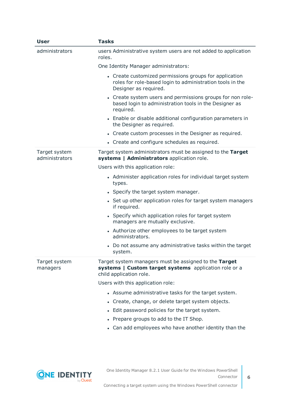| User                            | <b>Tasks</b>                                                                                                                                 |
|---------------------------------|----------------------------------------------------------------------------------------------------------------------------------------------|
| administrators                  | users Administrative system users are not added to application<br>roles.                                                                     |
|                                 | One Identity Manager administrators:                                                                                                         |
|                                 | • Create customized permissions groups for application<br>roles for role-based login to administration tools in the<br>Designer as required. |
|                                 | • Create system users and permissions groups for non role-<br>based login to administration tools in the Designer as<br>required.            |
|                                 | • Enable or disable additional configuration parameters in<br>the Designer as required.                                                      |
|                                 | • Create custom processes in the Designer as required.                                                                                       |
|                                 | • Create and configure schedules as required.                                                                                                |
| Target system<br>administrators | Target system administrators must be assigned to the Target<br>systems   Administrators application role.                                    |
|                                 | Users with this application role:                                                                                                            |
|                                 | • Administer application roles for individual target system<br>types.                                                                        |
|                                 | • Specify the target system manager.                                                                                                         |
|                                 | • Set up other application roles for target system managers<br>if required.                                                                  |
|                                 | • Specify which application roles for target system<br>managers are mutually exclusive.                                                      |
|                                 | • Authorize other employees to be target system<br>administrators.                                                                           |
|                                 | Do not assume any administrative tasks within the target<br>system.                                                                          |
| Target system<br>managers       | Target system managers must be assigned to the Target<br>systems   Custom target systems application role or a<br>child application role.    |
|                                 | Users with this application role:                                                                                                            |
|                                 | • Assume administrative tasks for the target system.                                                                                         |
|                                 | Create, change, or delete target system objects.                                                                                             |
|                                 | • Edit password policies for the target system.                                                                                              |
|                                 | Prepare groups to add to the IT Shop.                                                                                                        |
|                                 | • Can add employees who have another identity than the                                                                                       |

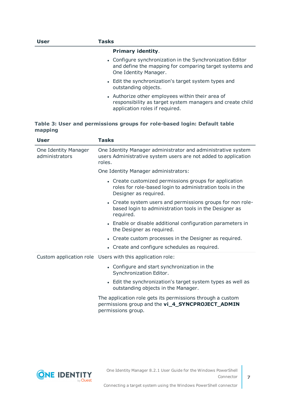| User | Tasks                                                                                                                                           |
|------|-------------------------------------------------------------------------------------------------------------------------------------------------|
|      | <b>Primary identity.</b>                                                                                                                        |
|      | • Configure synchronization in the Synchronization Editor<br>and define the mapping for comparing target systems and<br>One Identity Manager.   |
|      | • Edit the synchronization's target system types and<br>outstanding objects.                                                                    |
|      | • Authorize other employees within their area of<br>responsibility as target system managers and create child<br>application roles if required. |

#### **Table 3: User and permissions groups for role-based login: Default table mapping**

| <b>User</b>                            | <b>Tasks</b>                                                                                                                                 |
|----------------------------------------|----------------------------------------------------------------------------------------------------------------------------------------------|
| One Identity Manager<br>administrators | One Identity Manager administrator and administrative system<br>users Administrative system users are not added to application<br>roles.     |
|                                        | One Identity Manager administrators:                                                                                                         |
|                                        | • Create customized permissions groups for application<br>roles for role-based login to administration tools in the<br>Designer as required. |
|                                        | • Create system users and permissions groups for non role-<br>based login to administration tools in the Designer as<br>required.            |
|                                        | • Enable or disable additional configuration parameters in<br>the Designer as required.                                                      |
|                                        | • Create custom processes in the Designer as required.                                                                                       |
|                                        | • Create and configure schedules as required.                                                                                                |
|                                        | Custom application role Users with this application role:                                                                                    |
|                                        | • Configure and start synchronization in the<br>Synchronization Editor.                                                                      |
|                                        | • Edit the synchronization's target system types as well as<br>outstanding objects in the Manager.                                           |
|                                        | The application role gets its permissions through a custom<br>permissions group and the vi_4_SYNCPROJECT_ADMIN                               |

permissions group.

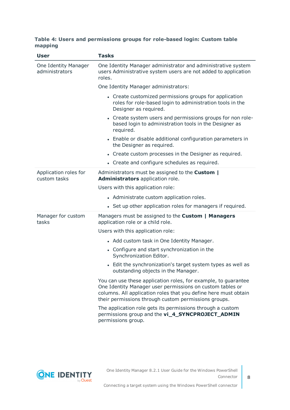#### **Table 4: Users and permissions groups for role-based login: Custom table mapping**

| <b>User</b>                            | <b>Tasks</b>                                                                                                                                                                                                                                           |
|----------------------------------------|--------------------------------------------------------------------------------------------------------------------------------------------------------------------------------------------------------------------------------------------------------|
| One Identity Manager<br>administrators | One Identity Manager administrator and administrative system<br>users Administrative system users are not added to application<br>roles.                                                                                                               |
|                                        | One Identity Manager administrators:                                                                                                                                                                                                                   |
|                                        | • Create customized permissions groups for application<br>roles for role-based login to administration tools in the<br>Designer as required.                                                                                                           |
|                                        | • Create system users and permissions groups for non role-<br>based login to administration tools in the Designer as<br>required.                                                                                                                      |
|                                        | • Enable or disable additional configuration parameters in<br>the Designer as required.                                                                                                                                                                |
|                                        | • Create custom processes in the Designer as required.                                                                                                                                                                                                 |
|                                        | • Create and configure schedules as required.                                                                                                                                                                                                          |
| Application roles for<br>custom tasks  | Administrators must be assigned to the Custom  <br>Administrators application role.                                                                                                                                                                    |
|                                        | Users with this application role:                                                                                                                                                                                                                      |
|                                        | • Administrate custom application roles.                                                                                                                                                                                                               |
|                                        | • Set up other application roles for managers if required.                                                                                                                                                                                             |
| Manager for custom<br>tasks            | Managers must be assigned to the Custom   Managers<br>application role or a child role.                                                                                                                                                                |
|                                        | Users with this application role:                                                                                                                                                                                                                      |
|                                        | • Add custom task in One Identity Manager.                                                                                                                                                                                                             |
|                                        | • Configure and start synchronization in the<br>Synchronization Editor.                                                                                                                                                                                |
|                                        | • Edit the synchronization's target system types as well as<br>outstanding objects in the Manager.                                                                                                                                                     |
|                                        | You can use these application roles, for example, to guarantee<br>One Identity Manager user permissions on custom tables or<br>columns. All application roles that you define here must obtain<br>their permissions through custom permissions groups. |
|                                        | The application role gets its permissions through a custom<br>permissions group and the vi_4_SYNCPROJECT_ADMIN<br>permissions group.                                                                                                                   |

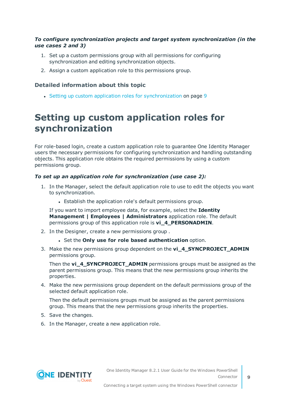#### *To configure synchronization projects and target system synchronization (in the use cases 2 and 3)*

- 1. Set up a custom permissions group with all permissions for configuring synchronization and editing synchronization objects.
- 2. Assign a custom application role to this permissions group.

#### **Detailed information about this topic**

• Setting up custom application roles for [synchronization](#page-8-0) on page 9

### <span id="page-8-0"></span>**Setting up custom application roles for synchronization**

For role-based login, create a custom application role to guarantee One Identity Manager users the necessary permissions for configuring synchronization and handling outstanding objects. This application role obtains the required permissions by using a custom permissions group.

#### *To set up an application role for synchronization (use case 2):*

- 1. In the Manager, select the default application role to use to edit the objects you want to synchronization.
	- Establish the application role's default permissions group.

If you want to import employee data, for example, select the **Identity Management | Employees | Administrators** application role. The default permissions group of this application role is **vi\_4\_PERSONADMIN**.

- 2. In the Designer, create a new permissions group .
	- <sup>l</sup> Set the **Only use for role based authentication** option.
- 3. Make the new permissions group dependent on the **vi\_4\_SYNCPROJECT\_ADMIN** permissions group.

Then the **vi\_4\_SYNCPROJECT\_ADMIN** permissions groups must be assigned as the parent permissions group. This means that the new permissions group inherits the properties.

4. Make the new permissions group dependent on the default permissions group of the selected default application role.

Then the default permissions groups must be assigned as the parent permissions group. This means that the new permissions group inherits the properties.

- 5. Save the changes.
- 6. In the Manager, create a new application role.

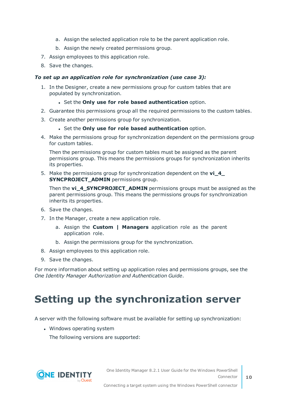- a. Assign the selected application role to be the parent application role.
- b. Assign the newly created permissions group.
- 7. Assign employees to this application role.
- 8. Save the changes.

#### *To set up an application role for synchronization (use case 3):*

- 1. In the Designer, create a new permissions group for custom tables that are populated by synchronization.
	- <sup>l</sup> Set the **Only use for role based authentication** option.
- 2. Guarantee this permissions group all the required permissions to the custom tables.
- 3. Create another permissions group for synchronization.
	- <sup>l</sup> Set the **Only use for role based authentication** option.
- 4. Make the permissions group for synchronization dependent on the permissions group for custom tables.

Then the permissions group for custom tables must be assigned as the parent permissions group. This means the permissions groups for synchronization inherits its properties.

5. Make the permissions group for synchronization dependent on the **vi\_4\_ SYNCPROJECT ADMIN** permissions group.

Then the **vi\_4\_SYNCPROJECT\_ADMIN** permissions groups must be assigned as the parent permissions group. This means the permissions groups for synchronization inherits its properties.

- 6. Save the changes.
- 7. In the Manager, create a new application role.
	- a. Assign the **Custom | Managers** application role as the parent application role.
	- b. Assign the permissions group for the synchronization.
- 8. Assign employees to this application role.
- 9. Save the changes.

For more information about setting up application roles and permissions groups, see the *One Identity Manager Authorization and Authentication Guide*.

## <span id="page-9-0"></span>**Setting up the synchronization server**

A server with the following software must be available for setting up synchronization:

• Windows operating system

The following versions are supported:

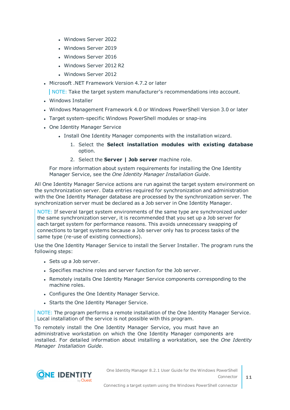- Windows Server 2022
- Windows Server 2019
- Windows Server 2016
- Windows Server 2012 R2
- Windows Server 2012
- Microsoft .NET Framework Version 4.7.2 or later

NOTE: Take the target system manufacturer's recommendations into account.

- Windows Installer
- Windows Management Framework 4.0 or Windows PowerShell Version 3.0 or later
- Target system-specific Windows PowerShell modules or snap-ins
- One Identity Manager Service
	- Install One Identity Manager components with the installation wizard.
		- 1. Select the **Select installation modules with existing database** option.
		- 2. Select the **Server | Job server** machine role.

For more information about system requirements for installing the One Identity Manager Service, see the *One Identity Manager Installation Guide*.

All One Identity Manager Service actions are run against the target system environment on the synchronization server. Data entries required for synchronization and administration with the One Identity Manager database are processed by the synchronization server. The synchronization server must be declared as a Job server in One Identity Manager.

NOTE: If several target system environments of the same type are synchronized under the same synchronization server, it is recommended that you set up a Job server for each target system for performance reasons. This avoids unnecessary swapping of connections to target systems because a Job server only has to process tasks of the same type (re-use of existing connections).

Use the One Identity Manager Service to install the Server Installer. The program runs the following steps:

- Sets up a Job server.
- Specifies machine roles and server function for the Job server.
- Remotely installs One Identity Manager Service components corresponding to the machine roles.
- Configures the One Identity Manager Service.
- Starts the One Identity Manager Service.

NOTE: The program performs a remote installation of the One Identity Manager Service. Local installation of the service is not possible with this program.

To remotely install the One Identity Manager Service, you must have an administrative workstation on which the One Identity Manager components are installed. For detailed information about installing a workstation, see the *One Identity Manager Installation Guide*.

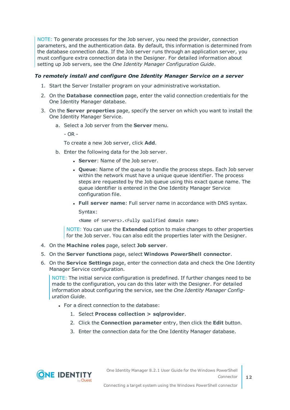NOTE: To generate processes for the Job server, you need the provider, connection parameters, and the authentication data. By default, this information is determined from the database connection data. If the Job server runs through an application server, you must configure extra connection data in the Designer. For detailed information about setting up Job servers, see the *One Identity Manager Configuration Guide*.

#### *To remotely install and configure One Identity Manager Service on a server*

- 1. Start the Server Installer program on your administrative workstation.
- 2. On the **Database connection** page, enter the valid connection credentials for the One Identity Manager database.
- 3. On the **Server properties** page, specify the server on which you want to install the One Identity Manager Service.
	- a. Select a Job server from the **Server** menu.

 $- OR -$ 

To create a new Job server, click **Add**.

- b. Enter the following data for the Job server.
	- **. Server: Name of the Job server.**
	- <sup>l</sup> **Queue**: Name of the queue to handle the process steps. Each Job server within the network must have a unique queue identifier. The process steps are requested by the Job queue using this exact queue name. The queue identifier is entered in the One Identity Manager Service configuration file.
	- <sup>l</sup> **Full server name**: Full server name in accordance with DNS syntax.

Syntax:

<Name of servers>.<Fully qualified domain name>

NOTE: You can use the **Extended** option to make changes to other properties for the Job server. You can also edit the properties later with the Designer.

- 4. On the **Machine roles** page, select **Job server**.
- 5. On the **Server functions** page, select **Windows PowerShell connector**.
- 6. On the **Service Settings** page, enter the connection data and check the One Identity Manager Service configuration.

NOTE: The initial service configuration is predefined. If further changes need to be made to the configuration, you can do this later with the Designer. For detailed information about configuring the service, see the *One Identity Manager Configuration Guide*.

- For a direct connection to the database:
	- 1. Select **Process collection > sqlprovider**.
	- 2. Click the **Connection parameter** entry, then click the **Edit** button.
	- 3. Enter the connection data for the One Identity Manager database.

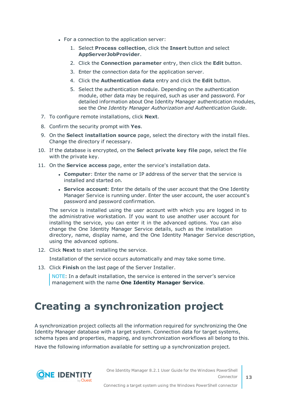- For a connection to the application server:
	- 1. Select **Process collection**, click the **Insert** button and select **AppServerJobProvider**.
	- 2. Click the **Connection parameter** entry, then click the **Edit** button.
	- 3. Enter the connection data for the application server.
	- 4. Click the **Authentication data** entry and click the **Edit** button.
	- 5. Select the authentication module. Depending on the authentication module, other data may be required, such as user and password. For detailed information about One Identity Manager authentication modules, see the *One Identity Manager Authorization and Authentication Guide*.
- 7. To configure remote installations, click **Next**.
- 8. Confirm the security prompt with **Yes**.
- 9. On the **Select installation source** page, select the directory with the install files. Change the directory if necessary.
- 10. If the database is encrypted, on the **Select private key file** page, select the file with the private key.
- 11. On the **Service access** page, enter the service's installation data.
	- **Computer**: Enter the name or IP address of the server that the service is installed and started on.
	- **. Service account:** Enter the details of the user account that the One Identity Manager Service is running under. Enter the user account, the user account's password and password confirmation.

The service is installed using the user account with which you are logged in to the administrative workstation. If you want to use another user account for installing the service, you can enter it in the advanced options. You can also change the One Identity Manager Service details, such as the installation directory, name, display name, and the One Identity Manager Service description, using the advanced options.

12. Click **Next** to start installing the service.

Installation of the service occurs automatically and may take some time.

13. Click **Finish** on the last page of the Server Installer.

NOTE: In a default installation, the service is entered in the server's service management with the name **One Identity Manager Service**.

## <span id="page-12-0"></span>**Creating a synchronization project**

A synchronization project collects all the information required for synchronizing the One Identity Manager database with a target system. Connection data for target systems, schema types and properties, mapping, and synchronization workflows all belong to this.

Have the following information available for setting up a synchronization project.

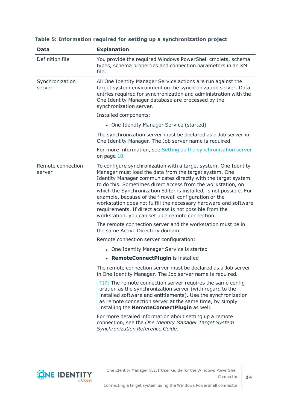| <b>Data</b>                 | <b>Explanation</b>                                                                                                                                                                                                                                                                                                                                                                                                                                                                                                                                                            |
|-----------------------------|-------------------------------------------------------------------------------------------------------------------------------------------------------------------------------------------------------------------------------------------------------------------------------------------------------------------------------------------------------------------------------------------------------------------------------------------------------------------------------------------------------------------------------------------------------------------------------|
| Definition file             | You provide the required Windows PowerShell cmdlets, schema<br>types, schema properties and connection parameters in an XML<br>file.                                                                                                                                                                                                                                                                                                                                                                                                                                          |
| Synchronization<br>server   | All One Identity Manager Service actions are run against the<br>target system environment on the synchronization server. Data<br>entries required for synchronization and administration with the<br>One Identity Manager database are processed by the<br>synchronization server.                                                                                                                                                                                                                                                                                            |
|                             | Installed components:                                                                                                                                                                                                                                                                                                                                                                                                                                                                                                                                                         |
|                             | • One Identity Manager Service (started)                                                                                                                                                                                                                                                                                                                                                                                                                                                                                                                                      |
|                             | The synchronization server must be declared as a Job server in<br>One Identity Manager. The Job server name is required.                                                                                                                                                                                                                                                                                                                                                                                                                                                      |
|                             | For more information, see Setting up the synchronization server<br>on page 10.                                                                                                                                                                                                                                                                                                                                                                                                                                                                                                |
| Remote connection<br>server | To configure synchronization with a target system, One Identity<br>Manager must load the data from the target system. One<br>Identity Manager communicates directly with the target system<br>to do this. Sometimes direct access from the workstation, on<br>which the Synchronization Editor is installed, is not possible. For<br>example, because of the firewall configuration or the<br>workstation does not fulfill the necessary hardware and software<br>requirements. If direct access is not possible from the<br>workstation, you can set up a remote connection. |
|                             | The remote connection server and the workstation must be in<br>the same Active Directory domain.                                                                                                                                                                                                                                                                                                                                                                                                                                                                              |
|                             | Remote connection server configuration:                                                                                                                                                                                                                                                                                                                                                                                                                                                                                                                                       |
|                             | • One Identity Manager Service is started                                                                                                                                                                                                                                                                                                                                                                                                                                                                                                                                     |
|                             | • RemoteConnectPlugin is installed                                                                                                                                                                                                                                                                                                                                                                                                                                                                                                                                            |
|                             | The remote connection server must be declared as a Job server<br>in One Identity Manager. The Job server name is required.                                                                                                                                                                                                                                                                                                                                                                                                                                                    |
|                             | TIP: The remote connection server requires the same config-<br>uration as the synchronization server (with regard to the<br>installed software and entitlements). Use the synchronization<br>as remote connection server at the same time, by simply<br>installing the RemoteConnectPlugin as well.                                                                                                                                                                                                                                                                           |
|                             | For more detailed information about setting up a remote<br>connection, see the One Identity Manager Target System<br>Synchronization Reference Guide.                                                                                                                                                                                                                                                                                                                                                                                                                         |

#### **Table 5: Information required for setting up a synchronization project**

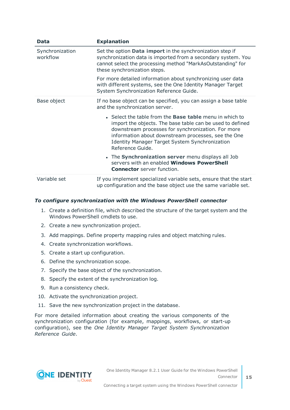| Data                        | <b>Explanation</b>                                                                                                                                                                                                                                                                                                    |
|-----------------------------|-----------------------------------------------------------------------------------------------------------------------------------------------------------------------------------------------------------------------------------------------------------------------------------------------------------------------|
| Synchronization<br>workflow | Set the option Data import in the synchronization step if<br>synchronization data is imported from a secondary system. You<br>cannot select the processing method "MarkAsOutstanding" for<br>these synchronization steps.                                                                                             |
|                             | For more detailed information about synchronizing user data<br>with different systems, see the One Identity Manager Target<br>System Synchronization Reference Guide.                                                                                                                                                 |
| Base object                 | If no base object can be specified, you can assign a base table<br>and the synchronization server.                                                                                                                                                                                                                    |
|                             | • Select the table from the <b>Base table</b> menu in which to<br>import the objects. The base table can be used to defined<br>downstream processes for synchronization. For more<br>information about downstream processes, see the One<br><b>Identity Manager Target System Synchronization</b><br>Reference Guide. |
|                             | • The Synchronization server menu displays all Job<br>servers with an enabled Windows PowerShell<br><b>Connector</b> server function.                                                                                                                                                                                 |
| Variable set                | If you implement specialized variable sets, ensure that the start<br>up configuration and the base object use the same variable set.                                                                                                                                                                                  |

#### *To configure synchronization with the Windows PowerShell connector*

- 1. Create a definition file, which described the structure of the target system and the Windows PowerShell cmdlets to use.
- 2. Create a new synchronization project.
- 3. Add mappings. Define property mapping rules and object matching rules.
- 4. Create synchronization workflows.
- 5. Create a start up configuration.
- 6. Define the synchronization scope.
- 7. Specify the base object of the synchronization.
- 8. Specify the extent of the synchronization log.
- 9. Run a consistency check.
- 10. Activate the synchronization project.
- 11. Save the new synchronization project in the database.

For more detailed information about creating the various components of the synchronization configuration (for example, mappings, workflows, or start-up configuration), see the *One Identity Manager Target System Synchronization Reference Guide*.

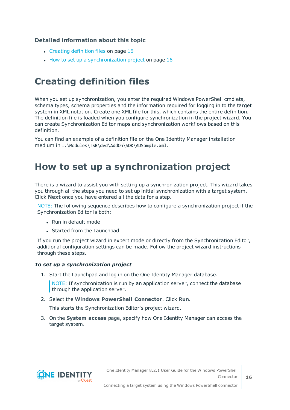#### **Detailed information about this topic**

- $\cdot$  Creating [definition](#page-15-0) files on page 16
- How to set up a [synchronization](#page-15-1) project on page 16

### <span id="page-15-0"></span>**Creating definition files**

When you set up synchronization, you enter the required Windows PowerShell cmdlets, schema types, schema properties and the information required for logging in to the target system in XML notation. Create one XML file for this, which contains the entire definition. The definition file is loaded when you configure synchronization in the project wizard. You can create Synchronization Editor maps and synchronization workflows based on this definition.

You can find an example of a definition file on the One Identity Manager installation medium in ..\Modules\TSB\dvd\AddOn\SDK\ADSample.xml.

### <span id="page-15-1"></span>**How to set up a synchronization project**

There is a wizard to assist you with setting up a synchronization project. This wizard takes you through all the steps you need to set up initial synchronization with a target system. Click **Next** once you have entered all the data for a step.

NOTE: The following sequence describes how to configure a synchronization project if the Synchronization Editor is both:

- <sup>l</sup> Run in default mode
- Started from the Launchpad

If you run the project wizard in expert mode or directly from the Synchronization Editor, additional configuration settings can be made. Follow the project wizard instructions through these steps.

#### *To set up a synchronization project*

1. Start the Launchpad and log in on the One Identity Manager database.

NOTE: If synchronization is run by an application server, connect the database through the application server.

2. Select the **Windows PowerShell Connector**. Click **Run**.

This starts the Synchronization Editor's project wizard.

3. On the **System access** page, specify how One Identity Manager can access the target system.

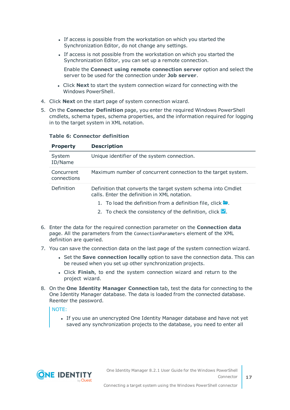- If access is possible from the workstation on which you started the Synchronization Editor, do not change any settings.
- If access is not possible from the workstation on which you started the Synchronization Editor, you can set up a remote connection.

Enable the **Connect using remote connection server** option and select the server to be used for the connection under **Job server**.

- <sup>l</sup> Click **Next** to start the system connection wizard for connecting with the Windows PowerShell.
- 4. Click **Next** on the start page of system connection wizard.
- 5. On the **Connector Definition** page, you enter the required Windows PowerShell cmdlets, schema types, schema properties, and the information required for logging in to the target system in XML notation.

| <b>Property</b>           | <b>Description</b>                                                                                            |
|---------------------------|---------------------------------------------------------------------------------------------------------------|
| System<br>ID/Name         | Unique identifier of the system connection.                                                                   |
| Concurrent<br>connections | Maximum number of concurrent connection to the target system.                                                 |
| Definition                | Definition that converts the target system schema into Cmdlet<br>calls. Enter the definition in XML notation. |
|                           | 1. To load the definition from a definition file, click $\blacksquare$ .                                      |
|                           | 2. To check the consistency of the definition, click $\blacksquare$ .                                         |

#### **Table 6: Connector definition**

- 6. Enter the data for the required connection parameter on the **Connection data** page. All the parameters from the ConnectionParameters element of the XML definition are queried.
- 7. You can save the connection data on the last page of the system connection wizard.
	- **.** Set the **Save connection locally** option to save the connection data. This can be reused when you set up other synchronization projects.
	- <sup>l</sup> Click **Finish**, to end the system connection wizard and return to the project wizard.
- 8. On the **One Identity Manager Connection** tab, test the data for connecting to the One Identity Manager database. The data is loaded from the connected database. Reenter the password.

#### NOTE:

• If you use an unencrypted One Identity Manager database and have not yet saved any synchronization projects to the database, you need to enter all

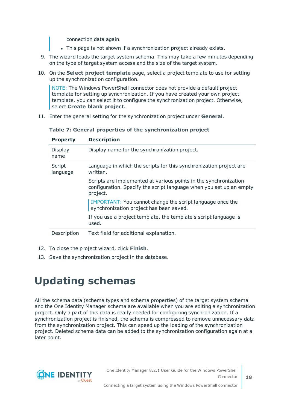connection data again.

- . This page is not shown if a synchronization project already exists.
- 9. The wizard loads the target system schema. This may take a few minutes depending on the type of target system access and the size of the target system.
- 10. On the **Select project template** page, select a project template to use for setting up the synchronization configuration.

NOTE: The Windows PowerShell connector does not provide a default project template for setting up synchronization. If you have created your own project template, you can select it to configure the synchronization project. Otherwise, select **Create blank project**.

11. Enter the general setting for the synchronization project under **General**.

| <b>Property</b>    | <b>Description</b>                                                                                                                                  |
|--------------------|-----------------------------------------------------------------------------------------------------------------------------------------------------|
| Display<br>name    | Display name for the synchronization project.                                                                                                       |
| Script<br>language | Language in which the scripts for this synchronization project are<br>written.                                                                      |
|                    | Scripts are implemented at various points in the synchronization<br>configuration. Specify the script language when you set up an empty<br>project. |
|                    | IMPORTANT: You cannot change the script language once the<br>synchronization project has been saved.                                                |
|                    | If you use a project template, the template's script language is<br>used.                                                                           |
| Description        | Text field for additional explanation.                                                                                                              |

**Table 7: General properties of the synchronization project**

- 12. To close the project wizard, click **Finish**.
- <span id="page-17-0"></span>13. Save the synchronization project in the database.

## **Updating schemas**

All the schema data (schema types and schema properties) of the target system schema and the One Identity Manager schema are available when you are editing a synchronization project. Only a part of this data is really needed for configuring synchronization. If a synchronization project is finished, the schema is compressed to remove unnecessary data from the synchronization project. This can speed up the loading of the synchronization project. Deleted schema data can be added to the synchronization configuration again at a later point.

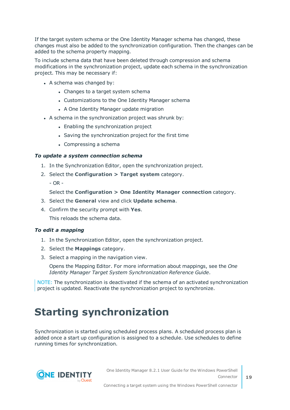If the target system schema or the One Identity Manager schema has changed, these changes must also be added to the synchronization configuration. Then the changes can be added to the schema property mapping.

To include schema data that have been deleted through compression and schema modifications in the synchronization project, update each schema in the synchronization project. This may be necessary if:

- $\bullet$  A schema was changed by:
	- Changes to a target system schema
	- Customizations to the One Identity Manager schema
	- A One Identity Manager update migration
- A schema in the synchronization project was shrunk by:
	- Enabling the synchronization project
	- Saving the synchronization project for the first time
	- Compressing a schema

#### *To update a system connection schema*

- 1. In the Synchronization Editor, open the synchronization project.
- 2. Select the **Configuration > Target system** category.
	- OR -

Select the **Configuration > One Identity Manager connection** category.

- 3. Select the **General** view and click **Update schema**.
- 4. Confirm the security prompt with **Yes**.

This reloads the schema data.

#### *To edit a mapping*

- 1. In the Synchronization Editor, open the synchronization project.
- 2. Select the **Mappings** category.
- 3. Select a mapping in the navigation view.

Opens the Mapping Editor. For more information about mappings, see the *One Identity Manager Target System Synchronization Reference Guide*.

NOTE: The synchronization is deactivated if the schema of an activated synchronization project is updated. Reactivate the synchronization project to synchronize.

## <span id="page-18-0"></span>**Starting synchronization**

Synchronization is started using scheduled process plans. A scheduled process plan is added once a start up configuration is assigned to a schedule. Use schedules to define running times for synchronization.

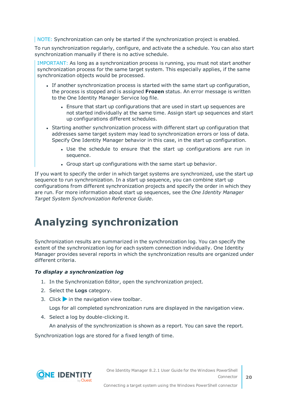NOTE: Synchronization can only be started if the synchronization project is enabled.

To run synchronization regularly, configure, and activate the a schedule. You can also start synchronization manually if there is no active schedule.

IMPORTANT: As long as a synchronization process is running, you must not start another synchronization process for the same target system. This especially applies, if the same synchronization objects would be processed.

- If another synchronization process is started with the same start up configuration, the process is stopped and is assigned **Frozen** status. An error message is written to the One Identity Manager Service log file.
	- Ensure that start up configurations that are used in start up sequences are not started individually at the same time. Assign start up sequences and start up configurations different schedules.
- Starting another synchronization process with different start up configuration that addresses same target system may lead to synchronization errors or loss of data. Specify One Identity Manager behavior in this case, in the start up configuration.
	- Use the schedule to ensure that the start up configurations are run in sequence.
	- Group start up configurations with the same start up behavior.

If you want to specify the order in which target systems are synchronized, use the start up sequence to run synchronization. In a start up sequence, you can combine start up configurations from different synchronization projects and specify the order in which they are run. For more information about start up sequences, see the *One Identity Manager Target System Synchronization Reference Guide*.

## <span id="page-19-0"></span>**Analyzing synchronization**

Synchronization results are summarized in the synchronization log. You can specify the extent of the synchronization log for each system connection individually. One Identity Manager provides several reports in which the synchronization results are organized under different criteria.

#### *To display a synchronization log*

- 1. In the Synchronization Editor, open the synchronization project.
- 2. Select the **Logs** category.
- 3. Click in the navigation view toolbar.

Logs for all completed synchronization runs are displayed in the navigation view.

4. Select a log by double-clicking it.

An analysis of the synchronization is shown as a report. You can save the report.

Synchronization logs are stored for a fixed length of time.



Connecting a target system using the Windows PowerShell connector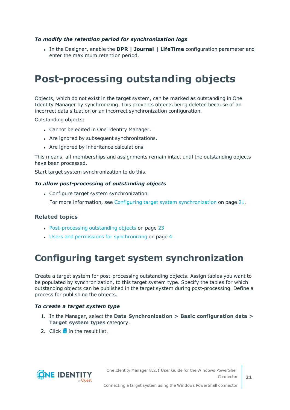#### *To modify the retention period for synchronization logs*

<sup>l</sup> In the Designer, enable the **DPR | Journal | LifeTime** configuration parameter and enter the maximum retention period.

## <span id="page-20-0"></span>**Post-processing outstanding objects**

Objects, which do not exist in the target system, can be marked as outstanding in One Identity Manager by synchronizing. This prevents objects being deleted because of an incorrect data situation or an incorrect synchronization configuration.

Outstanding objects:

- Cannot be edited in One Identity Manager.
- Are ignored by subsequent synchronizations.
- Are ignored by inheritance calculations.

This means, all memberships and assignments remain intact until the outstanding objects have been processed.

Start target system synchronization to do this.

#### *To allow post-processing of outstanding objects*

• Configure target system synchronization.

For more information, see Configuring target system [synchronization](#page-20-1) on page 21.

#### **Related topics**

- [Post-processing](#page-22-0) outstanding objects on page 23
- <span id="page-20-1"></span>• Users and permissions for [synchronizing](#page-3-1) on page 4

### **Configuring target system synchronization**

Create a target system for post-processing outstanding objects. Assign tables you want to be populated by synchronization, to this target system type. Specify the tables for which outstanding objects can be published in the target system during post-processing. Define a process for publishing the objects.

#### *To create a target system type*

- 1. In the Manager, select the **Data Synchronization > Basic configuration data > Target system types** category.
- 2. Click  $\mathbf{r}$  in the result list.

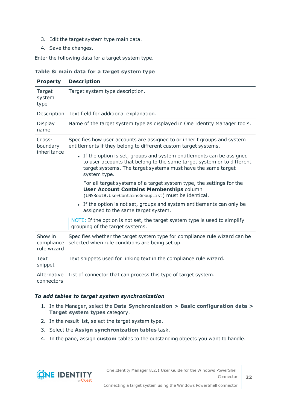- 3. Edit the target system type main data.
- 4. Save the changes.

Enter the following data for a target system type.

#### **Table 8: main data for a target system type**

| <b>Property</b>                      | <b>Description</b>                                                                                                                                                                                                               |
|--------------------------------------|----------------------------------------------------------------------------------------------------------------------------------------------------------------------------------------------------------------------------------|
| Target<br>system<br>type             | Target system type description.                                                                                                                                                                                                  |
|                                      | Description Text field for additional explanation.                                                                                                                                                                               |
| Display<br>name                      | Name of the target system type as displayed in One Identity Manager tools.                                                                                                                                                       |
| Cross-<br>boundary<br>inheritance    | Specifies how user accounts are assigned to or inherit groups and system<br>entitlements if they belong to different custom target systems.                                                                                      |
|                                      | • If the option is set, groups and system entitlements can be assigned<br>to user accounts that belong to the same target system or to different<br>target systems. The target systems must have the same target<br>system type. |
|                                      | For all target systems of a target system type, the settings for the<br><b>User Account Contains Memberships column</b><br>(UNSRootB.UserContainsGroupList) must be identical.                                                   |
|                                      | • If the option is not set, groups and system entitlements can only be<br>assigned to the same target system.                                                                                                                    |
|                                      | NOTE: If the option is not set, the target system type is used to simplify<br>grouping of the target systems.                                                                                                                    |
| Show in<br>compliance<br>rule wizard | Specifies whether the target system type for compliance rule wizard can be<br>selected when rule conditions are being set up.                                                                                                    |
| Text<br>snippet                      | Text snippets used for linking text in the compliance rule wizard.                                                                                                                                                               |
| Alternative<br>connectors            | List of connector that can process this type of target system.                                                                                                                                                                   |

#### *To add tables to target system synchronization*

- 1. In the Manager, select the **Data Synchronization > Basic configuration data > Target system types** category.
- 2. In the result list, select the target system type.
- 3. Select the **Assign synchronization tables** task.
- 4. In the pane, assign **custom** tables to the outstanding objects you want to handle.

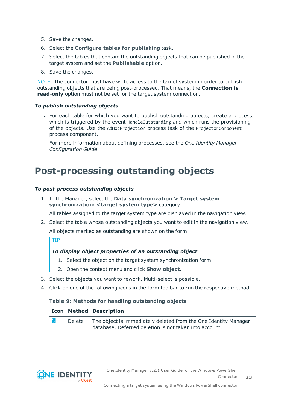- 5. Save the changes.
- 6. Select the **Configure tables for publishing** task.
- 7. Select the tables that contain the outstanding objects that can be published in the target system and set the **Publishable** option.
- 8. Save the changes.

NOTE: The connector must have write access to the target system in order to publish outstanding objects that are being post-processed. That means, the **Connection is read-only** option must not be set for the target system connection.

#### *To publish outstanding objects*

• For each table for which you want to publish outstanding objects, create a process, which is triggered by the event HandleOutstanding and which runs the provisioning of the objects. Use the AdHocProjection process task of the ProjectorComponent process component.

For more information about defining processes, see the *One Identity Manager Configuration Guide*.

### <span id="page-22-0"></span>**Post-processing outstanding objects**

#### *To post-process outstanding objects*

1. In the Manager, select the **Data synchronization > Target system synchronization: <target system type>** category.

All tables assigned to the target system type are displayed in the navigation view.

2. Select the table whose outstanding objects you want to edit in the navigation view. All objects marked as outstanding are shown on the form.

TIP:

#### *To display object properties of an outstanding object*

- 1. Select the object on the target system synchronization form.
- 2. Open the context menu and click **Show object**.
- 3. Select the objects you want to rework. Multi-select is possible.
- 4. Click on one of the following icons in the form toolbar to run the respective method.

#### **Table 9: Methods for handling outstanding objects**

#### **Icon Method Description**

۴. Delete The object is immediately deleted from the One Identity Manager database. Deferred deletion is not taken into account.

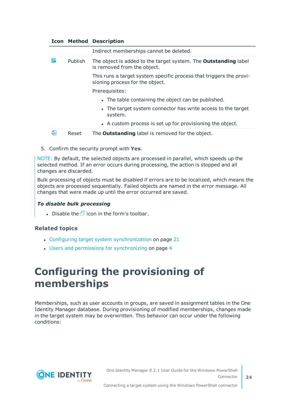|   |         | <b>Icon Method Description</b>                                                                         |
|---|---------|--------------------------------------------------------------------------------------------------------|
|   |         | Indirect memberships cannot be deleted.                                                                |
| F | Publish | The object is added to the target system. The <b>Outstanding</b> label<br>is removed from the object.  |
|   |         | This runs a target system specific process that triggers the provi-<br>sioning process for the object. |
|   |         | Prerequisites:                                                                                         |
|   |         | • The table containing the object can be published.                                                    |
|   |         | • The target system connector has write access to the target<br>system.                                |
|   |         | • A custom process is set up for provisioning the object.                                              |
| 운 | Reset   | The <b>Outstanding</b> label is removed for the object.                                                |

5. Confirm the security prompt with **Yes**.

NOTE: By default, the selected objects are processed in parallel, which speeds up the selected method. If an error occurs during processing, the action is stopped and all changes are discarded.

Bulk processing of objects must be disabled if errors are to be localized, which means the objects are processed sequentially. Failed objects are named in the error message. All changes that were made up until the error occurred are saved.

#### *To disable bulk processing*

. Disable the  $\mathbb{D}$  icon in the form's toolbar.

#### **Related topics**

- Configuring target system [synchronization](#page-20-1) on page 21
- Users and permissions for [synchronizing](#page-3-1) on page 4

## <span id="page-23-0"></span>**Configuring the provisioning of memberships**

Memberships, such as user accounts in groups, are saved in assignment tables in the One Identity Manager database. During provisioning of modified memberships, changes made in the target system may be overwritten. This behavior can occur under the following conditions:

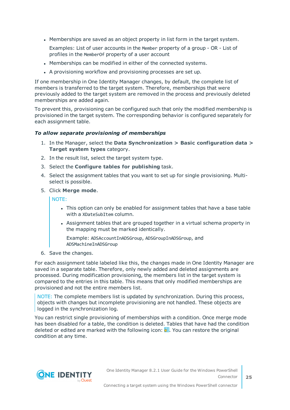• Memberships are saved as an object property in list form in the target system.

Examples: List of user accounts in the Member property of a group - OR - List of profiles in the MemberOf property of a user account

- Memberships can be modified in either of the connected systems.
- A provisioning workflow and provisioning processes are set up.

If one membership in One Identity Manager changes, by default, the complete list of members is transferred to the target system. Therefore, memberships that were previously added to the target system are removed in the process and previously deleted memberships are added again.

To prevent this, provisioning can be configured such that only the modified membership is provisioned in the target system. The corresponding behavior is configured separately for each assignment table.

#### *To allow separate provisioning of memberships*

- 1. In the Manager, select the **Data Synchronization > Basic configuration data > Target system types** category.
- 2. In the result list, select the target system type.
- 3. Select the **Configure tables for publishing** task.
- 4. Select the assignment tables that you want to set up for single provisioning. Multiselect is possible.
- 5. Click **Merge mode**.

NOTE:

- This option can only be enabled for assignment tables that have a base table with a XDateSubItem column.
- Assignment tables that are grouped together in a virtual schema property in the mapping must be marked identically.

Example: ADSAccountInADSGroup, ADSGroupInADSGroup, and ADSMachineInADSGroup

6. Save the changes.

For each assignment table labeled like this, the changes made in One Identity Manager are saved in a separate table. Therefore, only newly added and deleted assignments are processed. During modification provisioning, the members list in the target system is compared to the entries in this table. This means that only modified memberships are provisioned and not the entire members list.

NOTE: The complete members list is updated by synchronization. During this process, objects with changes but incomplete provisioning are not handled. These objects are logged in the synchronization log.

You can restrict single provisioning of memberships with a condition. Once merge mode has been disabled for a table, the condition is deleted. Tables that have had the condition deleted or edited are marked with the following icon:  $\mathbb{E}$ . You can restore the original condition at any time.

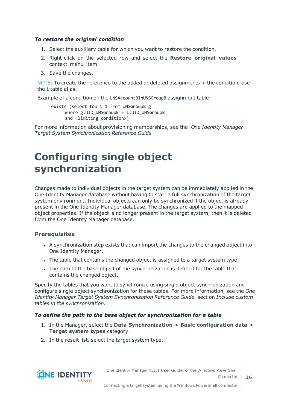#### *To restore the original condition*

- 1. Select the auxiliary table for which you want to restore the condition.
- 2. Right-click on the selected row and select the **Restore original values** context menu item.
- 3. Save the changes.

NOTE: To create the reference to the added or deleted assignments in the condition, use the i table alias.

Example of a condition on the UNSAccountBInUNSGroupB assignment table:

```
exists (select top 1 1 from UNSGroupB g
where g.UID UNSGroupB = i.UID UNSGroupB
and <limiting condition>)
```
For more information about provisioning memberships, see the .*One Identity Manager Target System Synchronization Reference Guide*

## <span id="page-25-0"></span>**Configuring single object synchronization**

Changes made to individual objects in the target system can be immediately applied in the One Identity Manager database without having to start a full synchronization of the target system environment. Individual objects can only be synchronized if the object is already present in the One Identity Manager database. The changes are applied to the mapped object properties. If the object is no longer present in the target system, then it is deleted from the One Identity Manager database.

#### **Prerequisites**

- A synchronization step exists that can import the changes to the changed object into One Identity Manager.
- The table that contains the changed object is assigned to a target system type.
- The path to the base object of the synchronization is defined for the table that contains the changed object.

Specify the tables that you want to synchronize using single object synchronization and configure single object synchronization for these tables. For more information, see the *One Identity Manager Target System Synchronization Reference Guide*, section *Include custom tables in the synchronization*.

#### *To define the path to the base object for synchronization for a table*

- 1. In the Manager, select the **Data Synchronization > Basic configuration data > Target system types** category.
- 2. In the result list, select the target system type.



One Identity Manager 8.2.1 User Guide for the Windows PowerShell Connector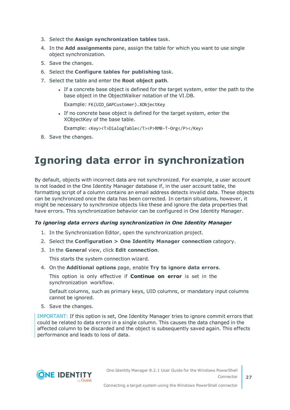- 3. Select the **Assign synchronization tables** task.
- 4. In the **Add assignments** pane, assign the table for which you want to use single object synchronization.
- 5. Save the changes.
- 6. Select the **Configure tables for publishing** task.
- 7. Select the table and enter the **Root object path**.
	- If a concrete base object is defined for the target system, enter the path to the base object in the ObjectWalker notation of the VI.DB.

Example: FK(UID\_GAPCustomer).XObjectKey

If no concrete base object is defined for the target system, enter the XObjectKey of the base table.

Example: <Key><T>DialogTable</T><P>RMB-T-Org</P></Key>

<span id="page-26-0"></span>8. Save the changes.

## **Ignoring data error in synchronization**

By default, objects with incorrect data are not synchronized. For example, a user account is not loaded in the One Identity Manager database if, in the user account table, the formatting script of a column contains an email address detects invalid data. These objects can be synchronized once the data has been corrected. In certain situations, however, it might be necessary to synchronize objects like these and ignore the data properties that have errors. This synchronization behavior can be configured in One Identity Manager.

#### *To ignoring data errors during synchronization in One Identity Manager*

- 1. In the Synchronization Editor, open the synchronization project.
- 2. Select the **Configuration > One Identity Manager connection** category.
- 3. In the **General** view, click **Edit connection**.

This starts the system connection wizard.

4. On the **Additional options** page, enable **Try to ignore data errors**.

This option is only effective if **Continue on error** is set in the synchronization workflow.

Default columns, such as primary keys, UID columns, or mandatory input columns cannot be ignored.

5. Save the changes.

IMPORTANT: If this option is set, One Identity Manager tries to ignore commit errors that could be related to data errors in a single column. This causes the data changed in the affected column to be discarded and the object is subsequently saved again. This effects performance and leads to loss of data.

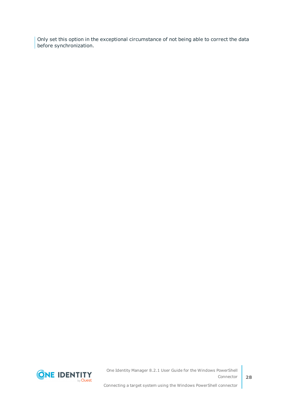Only set this option in the exceptional circumstance of not being able to correct the data before synchronization.



One Identity Manager 8.2.1 User Guide for the Windows PowerShell Connector Connecting a target system using the Windows PowerShell connector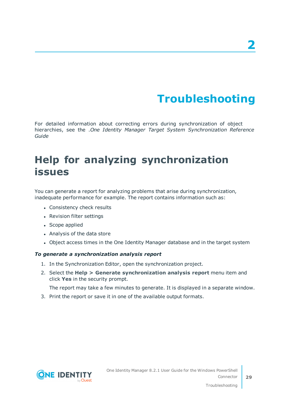# **Troubleshooting**

<span id="page-28-0"></span>For detailed information about correcting errors during synchronization of object hierarchies, see the .*One Identity Manager Target System Synchronization Reference Guide*

## <span id="page-28-1"></span>**Help for analyzing synchronization issues**

You can generate a report for analyzing problems that arise during synchronization, inadequate performance for example. The report contains information such as:

- Consistency check results
- Revision filter settings
- Scope applied
- Analysis of the data store
- Object access times in the One Identity Manager database and in the target system

#### *To generate a synchronization analysis report*

- 1. In the Synchronization Editor, open the synchronization project.
- 2. Select the **Help > Generate synchronization analysis report** menu item and click **Yes** in the security prompt.

The report may take a few minutes to generate. It is displayed in a separate window.

3. Print the report or save it in one of the available output formats.

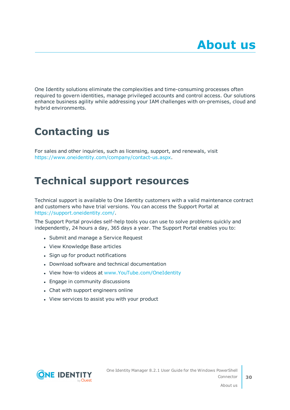<span id="page-29-0"></span>One Identity solutions eliminate the complexities and time-consuming processes often required to govern identities, manage privileged accounts and control access. Our solutions enhance business agility while addressing your IAM challenges with on-premises, cloud and hybrid environments.

## <span id="page-29-1"></span>**Contacting us**

For sales and other inquiries, such as licensing, support, and renewals, visit <https://www.oneidentity.com/company/contact-us.aspx>.

## <span id="page-29-2"></span>**Technical support resources**

Technical support is available to One Identity customers with a valid maintenance contract and customers who have trial versions. You can access the Support Portal at [https://support.oneidentity.com/.](https://support.oneidentity.com/)

The Support Portal provides self-help tools you can use to solve problems quickly and independently, 24 hours a day, 365 days a year. The Support Portal enables you to:

- Submit and manage a Service Request
- View Knowledge Base articles
- Sign up for product notifications
- Download software and technical documentation
- View how-to videos at [www.YouTube.com/OneIdentity](http://www.youtube.com/OneIdentity)
- Engage in community discussions
- Chat with support engineers online
- View services to assist you with your product

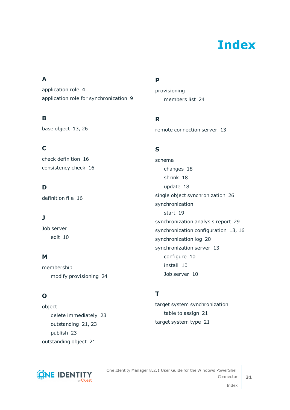# **Index**

### <span id="page-30-0"></span>**A**

application role [4](#page-3-1) application role for synchronization [9](#page-8-0)

### **B**

base object [13](#page-12-0), [26](#page-25-0)

### **C**

check definition [16](#page-15-1) consistency check [16](#page-15-1)

### **D**

definition file [16](#page-15-0)

### **J**

Job server edit [10](#page-9-0)

### **M**

membership modify provisioning [24](#page-23-0)

### **O**

object delete immediately [23](#page-22-0) outstanding [21](#page-20-0), [23](#page-22-0) publish [23](#page-22-0) outstanding object [21](#page-20-0)

### **P**

provisioning members list [24](#page-23-0)

### **R**

remote connection server [13](#page-12-0)

### **S**

schema changes [18](#page-17-0) shrink [18](#page-17-0) update [18](#page-17-0) single object synchronization [26](#page-25-0) synchronization start [19](#page-18-0) synchronization analysis report [29](#page-28-1) synchronization configuration [13](#page-12-0), [16](#page-15-1) synchronization log [20](#page-19-0) synchronization server [13](#page-12-0) configure [10](#page-9-0) install [10](#page-9-0) Job server [10](#page-9-0)

### **T**

target system synchronization table to assign [21](#page-20-1) target system type [21](#page-20-1)



One Identity Manager 8.2.1 User Guide for the Windows PowerShell Connector Index